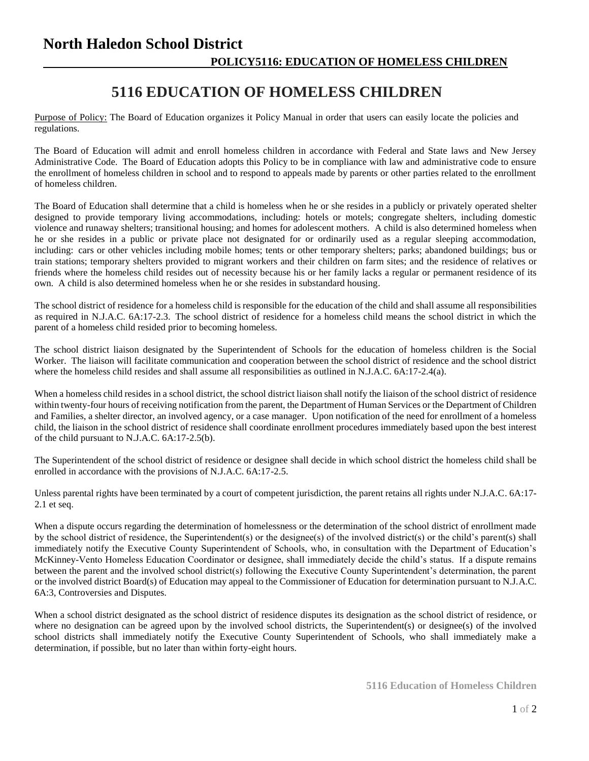## **North Haledon School District POLICY5116: EDUCATION OF HOMELESS CHILDREN**

## **5116 EDUCATION OF HOMELESS CHILDREN**

Purpose of Policy: The Board of Education organizes it Policy Manual in order that users can easily locate the policies and regulations.

The Board of Education will admit and enroll homeless children in accordance with Federal and State laws and New Jersey Administrative Code. The Board of Education adopts this Policy to be in compliance with law and administrative code to ensure the enrollment of homeless children in school and to respond to appeals made by parents or other parties related to the enrollment of homeless children.

The Board of Education shall determine that a child is homeless when he or she resides in a publicly or privately operated shelter designed to provide temporary living accommodations, including: hotels or motels; congregate shelters, including domestic violence and runaway shelters; transitional housing; and homes for adolescent mothers. A child is also determined homeless when he or she resides in a public or private place not designated for or ordinarily used as a regular sleeping accommodation, including: cars or other vehicles including mobile homes; tents or other temporary shelters; parks; abandoned buildings; bus or train stations; temporary shelters provided to migrant workers and their children on farm sites; and the residence of relatives or friends where the homeless child resides out of necessity because his or her family lacks a regular or permanent residence of its own. A child is also determined homeless when he or she resides in substandard housing.

The school district of residence for a homeless child is responsible for the education of the child and shall assume all responsibilities as required in N.J.A.C. 6A:17-2.3. The school district of residence for a homeless child means the school district in which the parent of a homeless child resided prior to becoming homeless.

The school district liaison designated by the Superintendent of Schools for the education of homeless children is the Social Worker. The liaison will facilitate communication and cooperation between the school district of residence and the school district where the homeless child resides and shall assume all responsibilities as outlined in N.J.A.C. 6A:17-2.4(a).

When a homeless child resides in a school district, the school district liaison shall notify the liaison of the school district of residence within twenty-four hours of receiving notification from the parent, the Department of Human Services or the Department of Children and Families, a shelter director, an involved agency, or a case manager. Upon notification of the need for enrollment of a homeless child, the liaison in the school district of residence shall coordinate enrollment procedures immediately based upon the best interest of the child pursuant to N.J.A.C. 6A:17-2.5(b).

The Superintendent of the school district of residence or designee shall decide in which school district the homeless child shall be enrolled in accordance with the provisions of N.J.A.C. 6A:17-2.5.

Unless parental rights have been terminated by a court of competent jurisdiction, the parent retains all rights under N.J.A.C. 6A:17- 2.1 et seq.

When a dispute occurs regarding the determination of homelessness or the determination of the school district of enrollment made by the school district of residence, the Superintendent(s) or the designee(s) of the involved district(s) or the child's parent(s) shall immediately notify the Executive County Superintendent of Schools, who, in consultation with the Department of Education's McKinney-Vento Homeless Education Coordinator or designee, shall immediately decide the child's status. If a dispute remains between the parent and the involved school district(s) following the Executive County Superintendent's determination, the parent or the involved district Board(s) of Education may appeal to the Commissioner of Education for determination pursuant to N.J.A.C. 6A:3, Controversies and Disputes.

When a school district designated as the school district of residence disputes its designation as the school district of residence, or where no designation can be agreed upon by the involved school districts, the Superintendent(s) or designee(s) of the involved school districts shall immediately notify the Executive County Superintendent of Schools, who shall immediately make a determination, if possible, but no later than within forty-eight hours.